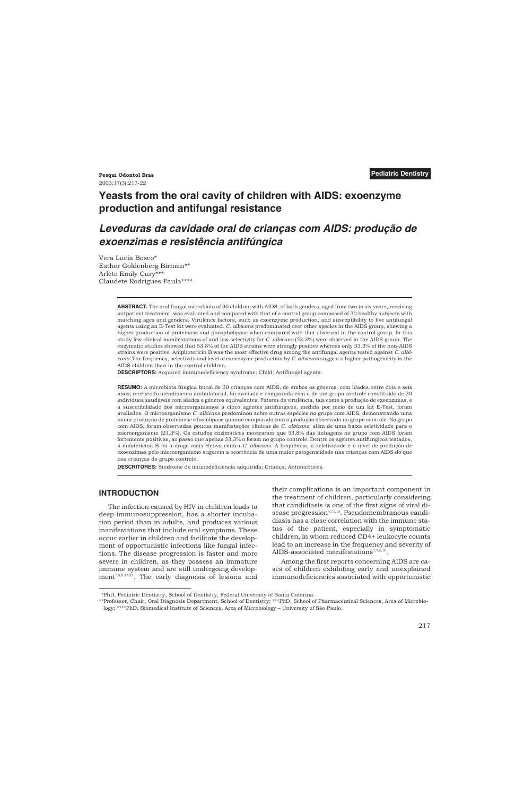# **Yeasts from the oral cavity of children with AIDS: exoenzyme production and antifungal resistance**

# *Leveduras da cavidade oral de crianças com AIDS: produção de exoenzimas e resistência antifúngica*

Vera Lúcia Bosco\* Esther Goldenberg Birman\*\* Arlete Emily Cury\*\*\* Claudete Rodrigues Paula\*\*\*\*

> **ABSTRACT:** The oral fungal microbiota of 30 children with AIDS, of both genders, aged from two to six years, receiving outpatient treatment, was evaluated and compared with that of a control group composed of 30 healthy subjects with matching ages and genders. Virulence factors, such as exoenzyme production, and susceptibility to five antifungal agents using an E-Test kit were evaluated. *C. albicans* predominated over other species in the AIDS group, showing a higher production of proteinase and phospholipase when compared with that observed in the control group. In this study few clinical manifestations of and low selectivity for *C. albicans* (23.3%) were observed in the AIDS group. The enzymatic studies showed that 53.8% of the AIDS strains were strongly positive whereas only 33.3% of the non-AIDS strains were positive. Amphotericin B was the most effective drug among the antifungal agents tested against *C. albicans*. The frequency, selectivity and level of exoenzyme production by *C. albicans* suggest a higher pathogenicity in the AIDS children than in the control children.

**DESCRIPTORS:** Acquired immunodeficiency syndrome; Child; Antifungal agents.

**RESUMO:** A microbiota fúngica bucal de 30 crianças com AIDS, de ambos os gêneros, com idades entre dois e seis anos, recebendo atendimento ambulatorial, foi avaliada e comparada com a de um grupo controle constituído de 30 indivíduos saudáveis com idades e gêneros equivalentes. Fatores de virulência, tais como a produção de exoenzimas, e a suscetibilidade dos microorganismos a cinco agentes antifúngicos, medida por meio de um kit E-Test, foram avaliados. O microorganismo *C. albicans* predominou sobre outras espécies no grupo com AIDS, demonstrando uma maior produção de proteinase e fosfolipase quando comparada com a produção observada no grupo controle. No grupo com AIDS, foram observadas poucas manifestações clínicas de *C. albicans*, além de uma baixa seletividade para o microorganismo (23,3%). Os estudos enzimáticos mostraram que 53,8% das linhagens no grupo com AIDS foram fortemente positivas, ao passo que apenas 33,3% o foram no grupo controle. Dentre os agentes antifúngicos testados, a anfotericina B foi a droga mais efetiva contra *C. albicans*. A freqüência, a seletividade e o nível de produção de exoenzimas pelo microorganismo sugerem a ocorrência de uma maior patogenicidade nas crianças com AIDS do que nas crianças do grupo controle.

**DESCRITORES:** Síndrome de imunodeficiência adquirida; Criança; Antimicóticos.

## **INTRODUCTION**

The infection caused by HIV in children leads to deep immunosuppression, has a shorter incubation period than in adults, and produces various manifestations that include oral symptoms. These occur earlier in children and facilitate the development of opportunistic infections like fungal infections. The disease progression is faster and more severe in children, as they possess an immature immune system and are still undergoing development<sup>5,8,9,13,23</sup>. The early diagnosis of lesions and their complications is an important component in the treatment of children, particularly considering that candidiasis is one of the first signs of viral disease progression<sup>4,11,15</sup>. Pseudomembranous candidiasis has a close correlation with the immune status of the patient, especially in symptomatic children, in whom reduced CD4+ leukocyte counts lead to an increase in the frequency and severity of AIDS-associated manifestations<sup>1,2,6,10</sup>.

Among the first reports concerning AIDS are cases of children exhibiting early and unexplained immunodeficiencies associated with opportunistic

<sup>\*</sup>PhD, Pediatric Dentistry, School of Dentistry, Federal University of Santa Catarina.

<sup>\*\*</sup>Professor, Chair, Oral Diagnosis Department, School of Dentistry; \*\*\*PhD, School of Pharmaceutical Sciences, Area of Microbiology; \*\*\*\*PhD, Biomedical Institute of Sciences, Area of Microbiology – University of São Paulo.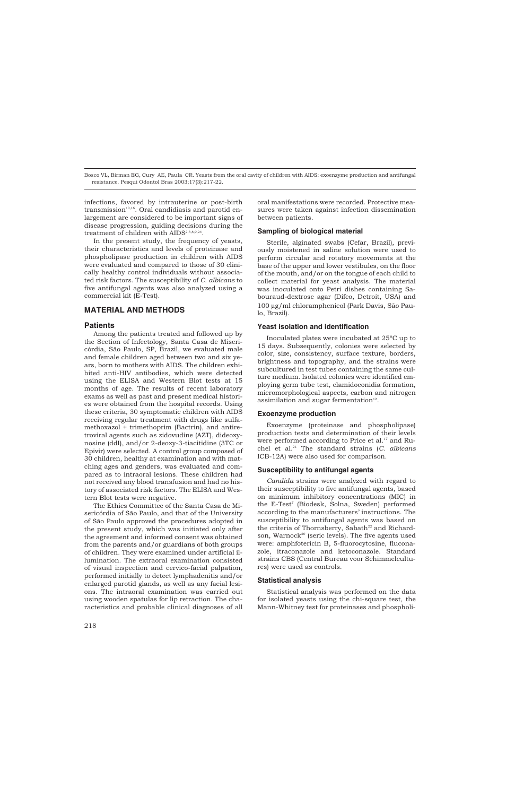infections, favored by intrauterine or post-birth  $transmission^{10,16}$ . Oral candidiasis and parotid enlargement are considered to be important signs of disease progression, guiding decisions during the treatment of children with AIDS<sup>2,3,8,9,24</sup>.

In the present study, the frequency of yeasts, their characteristics and levels of proteinase and phospholipase production in children with AIDS were evaluated and compared to those of 30 clinically healthy control individuals without associated risk factors. The susceptibility of *C. albicans* to five antifungal agents was also analyzed using a commercial kit (E-Test).

## **MATERIAL AND METHODS**

### **Patients**

Among the patients treated and followed up by the Section of Infectology, Santa Casa de Misericórdia, São Paulo, SP, Brazil, we evaluated male and female children aged between two and six years, born to mothers with AIDS. The children exhibited anti-HIV antibodies, which were detected using the ELISA and Western Blot tests at 15 months of age. The results of recent laboratory exams as well as past and present medical histories were obtained from the hospital records. Using these criteria, 30 symptomatic children with AIDS receiving regular treatment with drugs like sulfamethoxazol + trimethoprim (Bactrin), and antiretroviral agents such as zidovudine (AZT), dideoxynosine (ddI), and/or 2-deoxy-3-tiacitidine (3TC or Epivir) were selected. A control group composed of 30 children, healthy at examination and with matching ages and genders, was evaluated and compared as to intraoral lesions. These children had not received any blood transfusion and had no history of associated risk factors. The ELISA and Western Blot tests were negative.

The Ethics Committee of the Santa Casa de Misericórdia of São Paulo, and that of the University of São Paulo approved the procedures adopted in the present study, which was initiated only after the agreement and informed consent was obtained from the parents and/or guardians of both groups of children. They were examined under artificial illumination. The extraoral examination consisted of visual inspection and cervico-facial palpation, performed initially to detect lymphadenitis and/or enlarged parotid glands, as well as any facial lesions. The intraoral examination was carried out using wooden spatulas for lip retraction. The characteristics and probable clinical diagnoses of all oral manifestations were recorded. Protective measures were taken against infection dissemination between patients.

### **Sampling of biological material**

Sterile, alginated swabs (Cefar, Brazil), previously moistened in saline solution were used to perform circular and rotatory movements at the base of the upper and lower vestibules, on the floor of the mouth, and/or on the tongue of each child to collect material for yeast analysis. The material was inoculated onto Petri dishes containing Sabouraud-dextrose agar (Difco, Detroit, USA) and 100 µg/ml chloramphenicol (Park Davis, São Paulo, Brazil).

#### **Yeast isolation and identification**

Inoculated plates were incubated at 25ºC up to 15 days. Subsequently, colonies were selected by color, size, consistency, surface texture, borders, brightness and topography, and the strains were subcultured in test tubes containing the same culture medium. Isolated colonies were identified employing germ tube test, clamidoconidia formation, micromorphological aspects, carbon and nitrogen assimilation and sugar fermentation $12$ .

#### **Exoenzyme production**

Exoenzyme (proteinase and phospholipase) production tests and determination of their levels were performed according to Price et al.<sup>17</sup> and Ruchel et al.21 The standard strains (*C. albicans* ICB-12A) were also used for comparison.

#### **Susceptibility to antifungal agents**

*Candida* strains were analyzed with regard to their susceptibility to five antifungal agents, based on minimum inhibitory concentrations (MIC) in the E-Test<sup>7</sup> (Biodesk, Solna, Sweden) performed according to the manufacturers' instructions. The susceptibility to antifungal agents was based on the criteria of Thornsberry, Sabath<sup>22</sup> and Richardson, Warnock<sup>20</sup> (seric levels). The five agents used were: amphfotericin B, 5-fluorocytosine, fluconazole, itraconazole and ketoconazole. Standard strains CBS (Central Bureau voor Schimmelcultures) were used as controls.

#### **Statistical analysis**

Statistical analysis was performed on the data for isolated yeasts using the chi-square test, the Mann-Whitney test for proteinases and phospholi-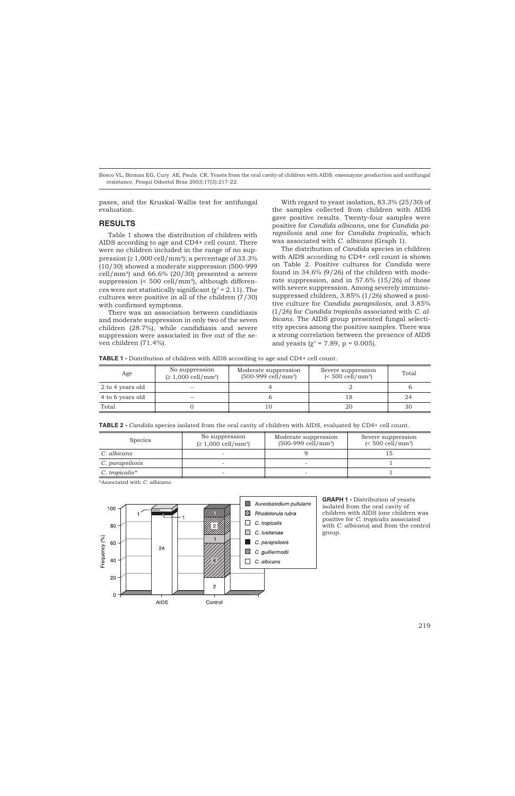pases, and the Kruskal-Wallis test for antifungal evaluation.

## **RESULTS**

Table 1 shows the distribution of children with AIDS according to age and CD4+ cell count. There were no children included in the range of no suppression  $( \geq 1,000 \text{ cell/mm}^3)$ ; a percentage of 33.3% (10/30) showed a moderate suppression (500-999 cell/mm<sup>3</sup>) and  $66.6\%$  (20/30) presented a severe suppression (<  $500$  cell/mm<sup>3</sup>), although differences were not statistically significant ( $\chi^2$  = 2.11). The cultures were positive in all of the children (7/30) with confirmed symptoms.

There was an association between candidiasis and moderate suppression in only two of the seven children (28.7%), while candidiasis and severe suppression were associated in five out of the seven children (71.4%).

With regard to yeast isolation, 83.3% (25/30) of the samples collected from children with AIDS gave positive results. Twenty-four samples were positive for *Candida albicans*, one for *Candida parapsilosis* and one for *Candida tropicalis*, which was associated with *C. albicans* (Graph 1).

The distribution of *Candida* species in children with AIDS according to CD4+ cell count is shown on Table 2. Positive cultures for *Candida* were found in 34.6% (9/26) of the children with moderate suppression, and in 57.6% (15/26) of those with severe suppression. Among severely immunosuppressed children, 3.85% (1/26) showed a positive culture for *Candida parapsilosis,* and 3.85% (1/26) for *Candida tropicalis* associated with *C. albicans*. The AIDS group presented fungal selectivity species among the positive samples. There was a strong correlation between the presence of AIDS and yeasts ( $\chi^2$  = 7.89, p = 0.005).

| Age              | No suppression<br>$( \geq 1,000 \text{ cell/mm}^3 )$ | Moderate suppression<br>$(500-999 \text{ cell/mm}^3)$ | Severe suppression<br>$\leq 500$ cell/mm <sup>3</sup> ) | Total |
|------------------|------------------------------------------------------|-------------------------------------------------------|---------------------------------------------------------|-------|
| 2 to 4 years old |                                                      |                                                       |                                                         |       |
| 4 to 6 years old |                                                      |                                                       |                                                         | 24    |
| Total            |                                                      | 10                                                    | 20                                                      | 30    |

**TABLE 2 -** *Candida* species isolated from the oral cavity of children with AIDS, evaluated by CD4+ cell count.

| <b>Species</b>  | No suppression<br>$( \geq 1,000 \text{ cell/mm}^3)$ | Moderate suppression<br>$(500-999$ cell/mm <sup>3</sup> ) | Severe suppression<br>$\leq 500$ cell/mm <sup>3</sup> ) |
|-----------------|-----------------------------------------------------|-----------------------------------------------------------|---------------------------------------------------------|
| C. albicans     |                                                     |                                                           |                                                         |
| C. parapsilosis | ٠                                                   |                                                           |                                                         |
| C. tropicalis*  | $\sim$                                              | $\sim$                                                    |                                                         |

\*Associated with *C. albicans*.



**GRAPH 1 -** Distribution of yeasts isolated from the oral cavity of children with AIDS (one children was positive for *C. tropicalis* associated with *C. albicans*) and from the control group.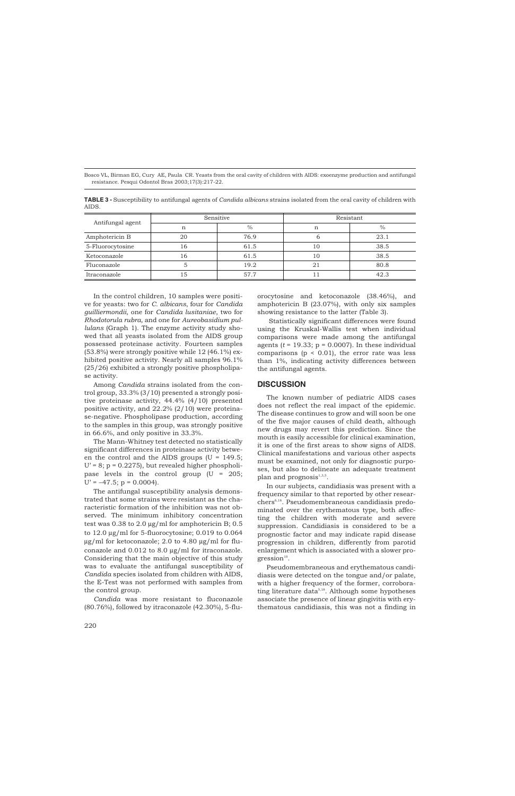| Antifungal agent | Sensitive |      | Resistant |      |
|------------------|-----------|------|-----------|------|
|                  | n         | $\%$ | n         | $\%$ |
| Amphotericin B   | 20        | 76.9 |           | 23.1 |
| 5-Fluorocytosine | 16        | 61.5 | 10        | 38.5 |
| Ketoconazole     | 16        | 61.5 | 10        | 38.5 |
| Fluconazole      |           | 19.2 | 21        | 80.8 |
| Itraconazole     | .5        | 57.7 |           | 42.3 |

**TABLE 3 -** Susceptibility to antifungal agents of *Candida albicans* strains isolated from the oral cavity of children with AIDS.

In the control children, 10 samples were positive for yeasts: two for *C. albicans*, four for *Candida guilliermondii*, one for *Candida lusitaniae*, two for *Rhodotorula rubra,* and one for *Aureobasidium pullulans* (Graph 1). The enzyme activity study showed that all yeasts isolated from the AIDS group possessed proteinase activity. Fourteen samples (53.8%) were strongly positive while 12 (46.1%) exhibited positive activity. Nearly all samples 96.1% (25/26) exhibited a strongly positive phospholipase activity.

Among *Candida* strains isolated from the control group, 33.3% (3/10) presented a strongly positive proteinase activity, 44.4% (4/10) presented positive activity, and 22.2% (2/10) were proteinase-negative. Phospholipase production, according to the samples in this group, was strongly positive in 66.6%, and only positive in 33.3%.

The Mann-Whitney test detected no statistically significant differences in proteinase activity between the control and the AIDS groups  $(U = 149.5$ ;  $U' = 8$ ;  $p = 0.2275$ , but revealed higher phospholipase levels in the control group (U = 205;  $U' = -47.5$ ;  $p = 0.0004$ ).

The antifungal susceptibility analysis demonstrated that some strains were resistant as the characteristic formation of the inhibition was not observed. The minimum inhibitory concentration test was 0.38 to 2.0 µg/ml for amphotericin B; 0.5 to 12.0 µg/ml for 5-fluorocytosine; 0.019 to 0.064  $\mu$ g/ml for ketoconazole; 2.0 to 4.80  $\mu$ g/ml for fluconazole and 0.012 to 8.0 µg/ml for itraconazole. Considering that the main objective of this study was to evaluate the antifungal susceptibility of *Candida* species isolated from children with AIDS, the E-Test was not performed with samples from the control group.

*Candida* was more resistant to fluconazole (80.76%), followed by itraconazole (42.30%), 5-fluorocytosine and ketoconazole (38.46%), and amphotericin B (23.07%), with only six samples showing resistance to the latter (Table 3).

Statistically significant differences were found using the Kruskal-Wallis test when individual comparisons were made among the antifungal agents  $(t = 19.33; p = 0.0007)$ . In these individual comparisons ( $p < 0.01$ ), the error rate was less than 1%, indicating activity differences between the antifungal agents.

#### **DISCUSSION**

The known number of pediatric AIDS cases does not reflect the real impact of the epidemic. The disease continues to grow and will soon be one of the five major causes of child death, although new drugs may revert this prediction. Since the mouth is easily accessible for clinical examination, it is one of the first areas to show signs of AIDS. Clinical manifestations and various other aspects must be examined, not only for diagnostic purposes, but also to delineate an adequate treatment plan and prognosis $1,3,5$ .

In our subjects, candidiasis was present with a frequency similar to that reported by other researchers6,18. Pseudomembraneous candidiasis predominated over the erythematous type, both affecting the children with moderate and severe suppression. Candidiasis is considered to be a prognostic factor and may indicate rapid disease progression in children, differently from parotid enlargement which is associated with a slower pro $gression<sup>10</sup>$ .

Pseudomembraneous and erythematous candidiasis were detected on the tongue and/or palate, with a higher frequency of the former, corroborating literature data<sup> $5,18$ </sup>. Although some hypotheses associate the presence of linear gingivitis with erythematous candidiasis, this was not a finding in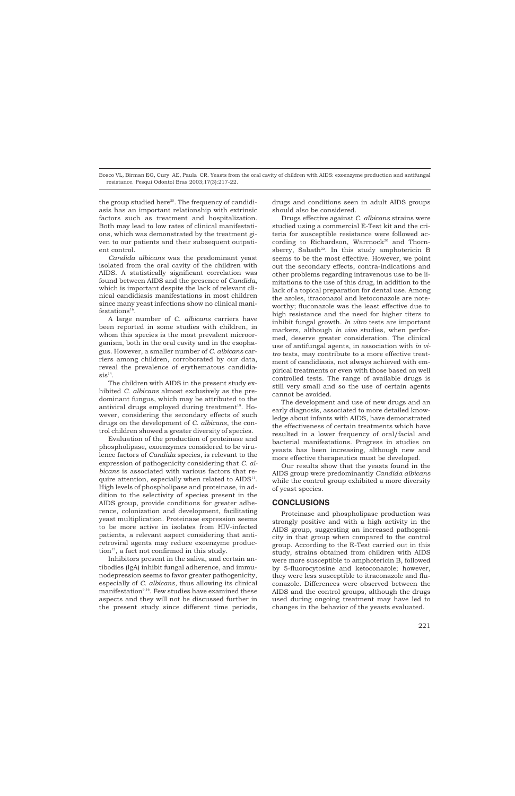the group studied here $25$ . The frequency of candidiasis has an important relationship with extrinsic factors such as treatment and hospitalization. Both may lead to low rates of clinical manifestations, which was demonstrated by the treatment given to our patients and their subsequent outpatient control.

*Candida albicans* was the predominant yeast isolated from the oral cavity of the children with AIDS. A statistically significant correlation was found between AIDS and the presence of *Candida*, which is important despite the lack of relevant clinical candidiasis manifestations in most children since many yeast infections show no clinical mani $festations<sup>16</sup>$ 

A large number of *C. albicans* carriers have been reported in some studies with children, in whom this species is the most prevalent microorganism, both in the oral cavity and in the esophagus. However, a smaller number of *C. albicans* carriers among children, corroborated by our data, reveal the prevalence of erythematous candidia $sis^{14}$ .

The children with AIDS in the present study exhibited *C. albicans* almost exclusively as the predominant fungus, which may be attributed to the antiviral drugs employed during treatment $19$ . However, considering the secondary effects of such drugs on the development of *C. albicans*, the control children showed a greater diversity of species.

Evaluation of the production of proteinase and phospholipase, exoenzymes considered to be virulence factors of *Candida* species, is relevant to the expression of pathogenicity considering that *C. albicans* is associated with various factors that require attention, especially when related to  $AIDS<sup>11</sup>$ . High levels of phospholipase and proteinase, in addition to the selectivity of species present in the AIDS group, provide conditions for greater adherence, colonization and development, facilitating yeast multiplication. Proteinase expression seems to be more active in isolates from HIV-infected patients, a relevant aspect considering that antiretroviral agents may reduce exoenzyme produc- $\text{tion}^{13}$ , a fact not confirmed in this study.

Inhibitors present in the saliva, and certain antibodies (IgA) inhibit fungal adherence, and immunodepression seems to favor greater pathogenicity, especially of *C. albicans*, thus allowing its clinical manifestation<sup>9,16</sup>. Few studies have examined these aspects and they will not be discussed further in the present study since different time periods,

drugs and conditions seen in adult AIDS groups should also be considered.

Drugs effective against *C. albicans* strains were studied using a commercial E-Test kit and the criteria for susceptible resistance were followed according to Richardson, Warrnock<sup>20</sup> and Thornsberry, Sabath<sup>22</sup>. In this study amphotericin B seems to be the most effective. However, we point out the secondary effects, contra-indications and other problems regarding intravenous use to be limitations to the use of this drug, in addition to the lack of a topical preparation for dental use. Among the azoles, itraconazol and ketoconazole are noteworthy; fluconazole was the least effective due to high resistance and the need for higher titers to inhibit fungal growth. *In vitro* tests are important markers, although *in vivo* studies, when performed, deserve greater consideration. The clinical use of antifungal agents, in association with *in vitro* tests, may contribute to a more effective treatment of candidiasis, not always achieved with empirical treatments or even with those based on well controlled tests. The range of available drugs is still very small and so the use of certain agents cannot be avoided.

The development and use of new drugs and an early diagnosis, associated to more detailed knowledge about infants with AIDS, have demonstrated the effectiveness of certain treatments which have resulted in a lower frequency of oral/facial and bacterial manifestations. Progress in studies on yeasts has been increasing, although new and more effective therapeutics must be developed.

Our results show that the yeasts found in the AIDS group were predominantly *Candida albicans* while the control group exhibited a more diversity of yeast species.

## **CONCLUSIONS**

Proteinase and phospholipase production was strongly positive and with a high activity in the AIDS group, suggesting an increased pathogenicity in that group when compared to the control group. According to the E-Test carried out in this study, strains obtained from children with AIDS were more susceptible to amphotericin B, followed by 5-fluorocytosine and ketoconazole; however, they were less susceptible to itraconazole and fluconazole. Differences were observed between the AIDS and the control groups, although the drugs used during ongoing treatment may have led to changes in the behavior of the yeasts evaluated.